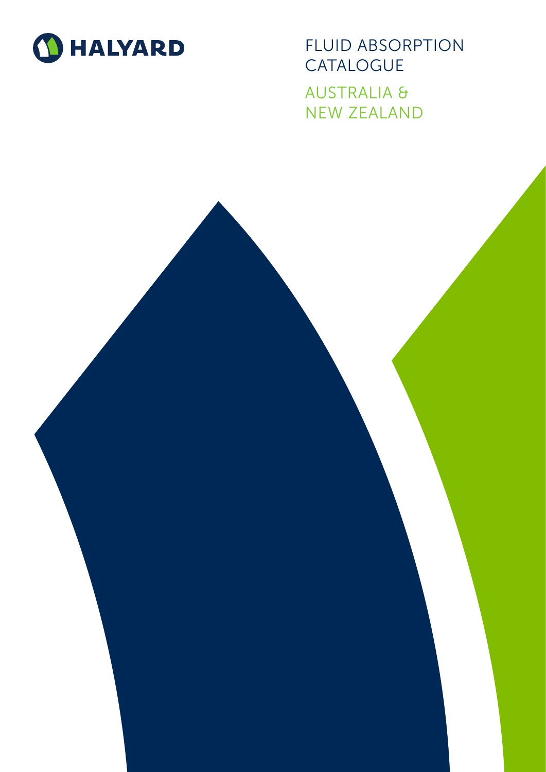

FLUID ABSORPTION **CATALOGUE** AUSTRALIA & NEW ZEALAND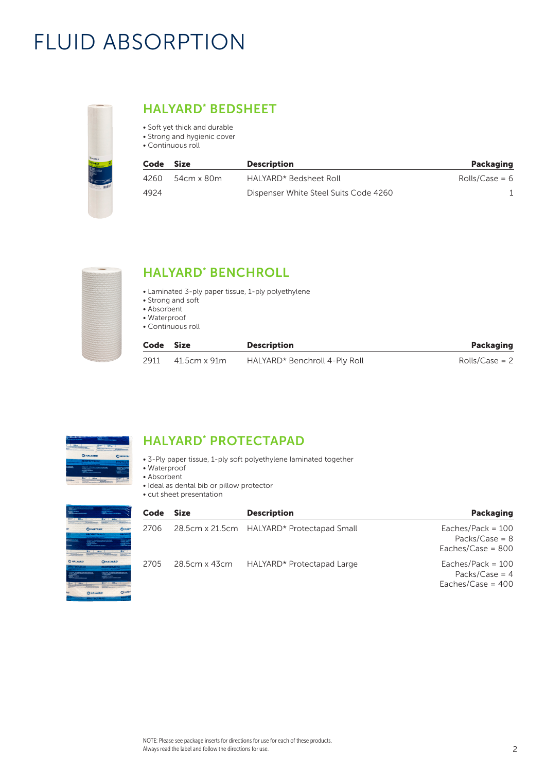## FLUID ABSORPTION



## HALYARD\* BEDSHEET

- Soft yet thick and durable
- Strong and hygienic cover

• Continuous roll

| Code Size |            | <b>Description</b>                    | Packaging        |
|-----------|------------|---------------------------------------|------------------|
| 4260      | 54cm x 80m | HALYARD* Bedsheet Roll                | Rolls/Case = $6$ |
| 4924      |            | Dispenser White Steel Suits Code 4260 |                  |



### HALYARD\* BENCHROLL

- Laminated 3-ply paper tissue, 1-ply polyethylene
- Strong and soft
- Absorbent • Waterproof
- Continuous roll

| Code Size |              | <b>Description</b>            | Packaging        |
|-----------|--------------|-------------------------------|------------------|
| 2911      | 41.5cm x 91m | HALYARD* Benchroll 4-Ply Roll | $Rolls/Case = 2$ |



#### HALYARD<sup>\*</sup> PROTECTAPAD

- 3-Ply paper tissue, 1-ply soft polyethylene laminated together
- Waterproof
- Absorbent
- Ideal as dental bib or pillow protector
- cut sheet presentation



| Code | Size          | <b>Description</b>                              | Packaging                                                      |
|------|---------------|-------------------------------------------------|----------------------------------------------------------------|
|      |               | 2706 28.5cm x 21.5cm HALYARD* Protectapad Small | Eaches/Pack = $100$<br>Packs/Case = $8$<br>Eaches/Case = $800$ |
| 2705 | 28.5cm x 43cm | HALYARD* Protectapad Large                      | Eaches/Pack = $100$<br>Packs/Case = $4$<br>Eaches/Case = $400$ |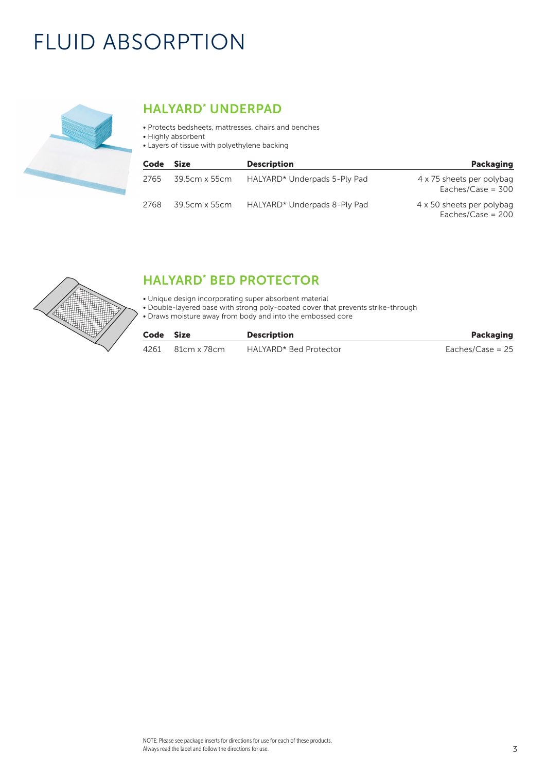# FLUID ABSORPTION



### HALYARD\* UNDERPAD

- Protects bedsheets, mattresses, chairs and benches
- Highly absorbent
- Layers of tissue with polyethylene backing

| Code | Size          | <b>Description</b>           | <b>Packaging</b>                                 |
|------|---------------|------------------------------|--------------------------------------------------|
| 2765 | 39.5cm x 55cm | HALYARD* Underpads 5-Ply Pad | 4 x 75 sheets per polybag<br>Eaches/Case = $300$ |
| 2768 | 39.5cm x 55cm | HALYARD* Underpads 8-Ply Pad | 4 x 50 sheets per polybag<br>Eaches/Case = $200$ |



#### HALYARD\* BED PROTECTOR

- Unique design incorporating super absorbent material
- Double-layered base with strong poly-coated cover that prevents strike-through
- Draws moisture away from body and into the embossed core

| Code Size |             | <b>Description</b>     | <b>Packaging</b>   |
|-----------|-------------|------------------------|--------------------|
| 4261      | 81cm x 78cm | HALYARD* Bed Protector | Eaches/Case = $25$ |